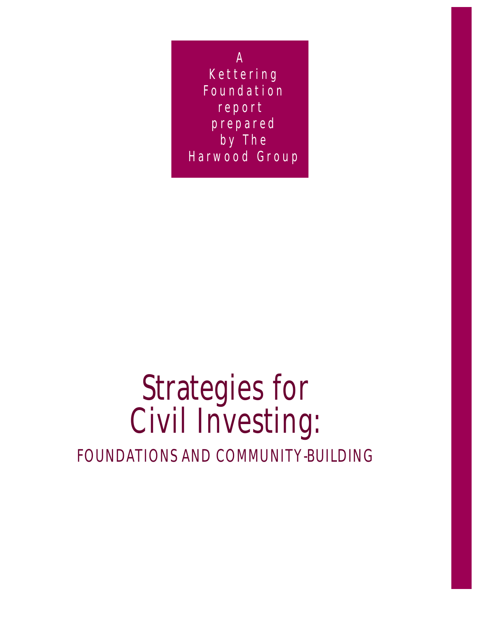A Kettering Foundation report prepared by The Harwood Group

# Strategies for Civil Investing: FOUNDATIONS AND COMMUNITY-BUILDING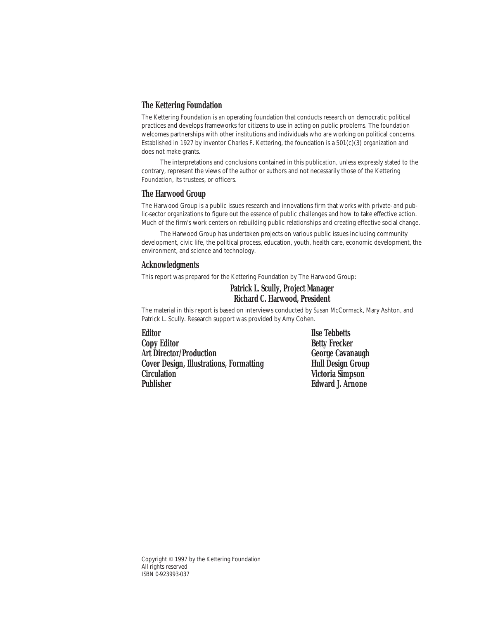#### **The Kettering Foundation**

The Kettering Foundation is an operating foundation that conducts research on democratic political practices and develops frameworks for citizens to use in acting on public problems. The foundation welcomes partnerships with other institutions and individuals who are working on political concerns. Established in 1927 by inventor Charles F. Kettering, the foundation is a 501(c)(3) organization and does not make grants.

The interpretations and conclusions contained in this publication, unless expressly stated to the contrary, represent the views of the author or authors and not necessarily those of the Kettering Foundation, its trustees, or officers.

#### **The Harwood Group**

The Harwood Group is a public issues research and innovations firm that works with private- and public-sector organizations to figure out the essence of public challenges and how to take effective action. Much of the firm's work centers on rebuilding public relationships and creating effective social change.

The Harwood Group has undertaken projects on various public issues including community development, civic life, the political process, education, youth, health care, economic development, the environment, and science and technology.

#### **Acknowledgments**

This report was prepared for the Kettering Foundation by The Harwood Group:

### **Patrick L. Scully, Project Manager Richard C. Harwood, President**

The material in this report is based on interviews conducted by Susan McCormack, Mary Ashton, and Patrick L. Scully. Research support was provided by Amy Cohen.

| <b>Editor</b>                                  | <b>Ilse Tebbetts</b>     |
|------------------------------------------------|--------------------------|
| <b>Copy Editor</b>                             | <b>Betty Frecker</b>     |
| <b>Art Director/Production</b>                 | <b>George Cavanaugh</b>  |
| <b>Cover Design, Illustrations, Formatting</b> | <b>Hull Design Group</b> |
| <b>Circulation</b>                             | Victoria Simpson         |
| Publisher                                      | <b>Edward J. Arnone</b>  |

Copyright © 1997 by the Kettering Foundation All rights reserved ISBN 0-923993-037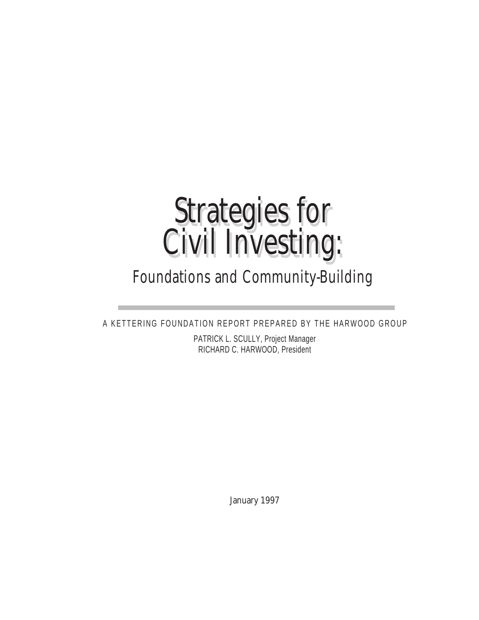### Strategies for Civil Investing: Strategies for Civil Investing:

## Foundations and Community-Building

A KETTERING FOUNDATION REPORT PREPARED BY THE HARWOOD GROUP

PATRICK L. SCULLY, Project Manager RICHARD C. HARWOOD, President

January 1997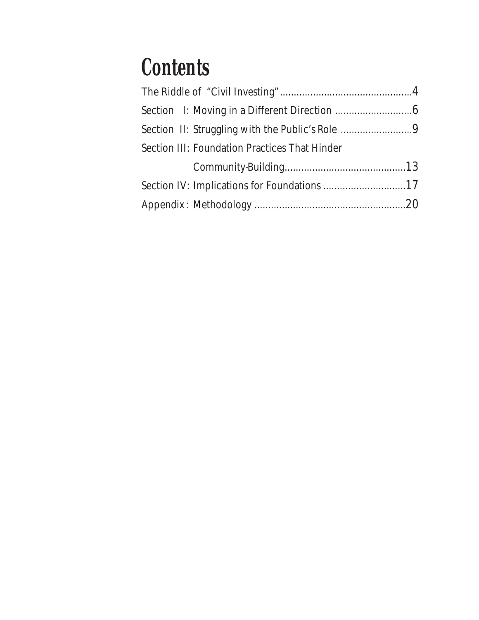# **Contents**

| <b>Section III: Foundation Practices That Hinder</b> |  |
|------------------------------------------------------|--|
|                                                      |  |
|                                                      |  |
|                                                      |  |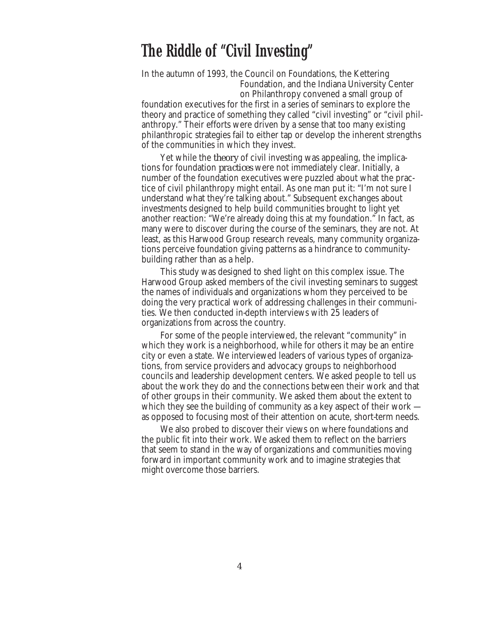### **The Riddle of "Civil Investing"**

In the autumn of 1993, the Council on Foundations, the Kettering Foundation, and the Indiana University Center on Philanthropy convened a small group of foundation executives for the first in a series of seminars to explore the

theory and practice of something they called "civil investing" or "civil philanthropy." Their efforts were driven by a sense that too many existing philanthropic strategies fail to either tap or develop the inherent strengths of the communities in which they invest.

Yet while the *theory* of civil investing was appealing, the implications for foundation *practices* were not immediately clear. Initially, a number of the foundation executives were puzzled about what the practice of civil philanthropy might entail. As one man put it: "I'm not sure I understand what they're talking about." Subsequent exchanges about investments designed to help build communities brought to light yet another reaction: "We're already doing this at my foundation." In fact, as many were to discover during the course of the seminars, they are not. At least, as this Harwood Group research reveals, many community organizations perceive foundation giving patterns as a hindrance to communitybuilding rather than as a help.

This study was designed to shed light on this complex issue. The Harwood Group asked members of the civil investing seminars to suggest the names of individuals and organizations whom they perceived to be doing the very practical work of addressing challenges in their communities. We then conducted in-depth interviews with 25 leaders of organizations from across the country.

For some of the people interviewed, the relevant "community" in which they work is a neighborhood, while for others it may be an entire city or even a state. We interviewed leaders of various types of organizations, from service providers and advocacy groups to neighborhood councils and leadership development centers. We asked people to tell us about the work they do and the connections between their work and that of other groups in their community. We asked them about the extent to which they see the building of community as a key aspect of their work as opposed to focusing most of their attention on acute, short-term needs.

We also probed to discover their views on where foundations and the public fit into their work. We asked them to reflect on the barriers that seem to stand in the way of organizations and communities moving forward in important community work and to imagine strategies that might overcome those barriers.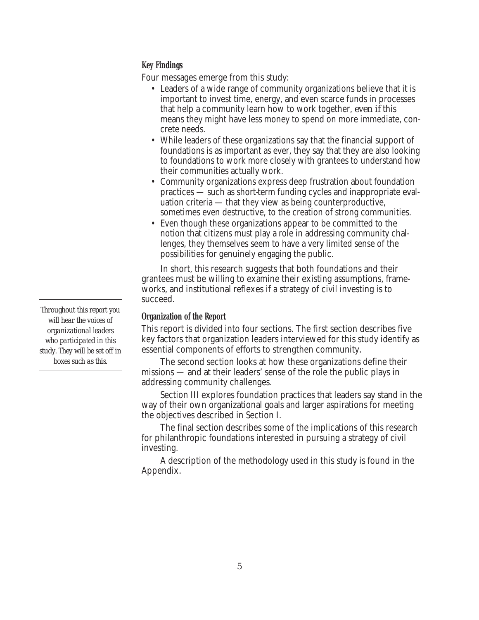### **Key Findings**

Four messages emerge from this study:

- Leaders of a wide range of community organizations believe that it is important to invest time, energy, and even scarce funds in processes that help a community learn how to work together, *even if* this means they might have less money to spend on more immediate, concrete needs.
- While leaders of these organizations say that the financial support of foundations is as important as ever, they say that they are also looking to foundations to work more closely with grantees to understand how their communities actually work.
- Community organizations express deep frustration about foundation practices — such as short-term funding cycles and inappropriate evaluation criteria — that they view as being counterproductive, sometimes even destructive, to the creation of strong communities.
- Even though these organizations appear to be committed to the notion that citizens must play a role in addressing community challenges, they themselves seem to have a very limited sense of the possibilities for genuinely engaging the public.

In short, this research suggests that both foundations and their grantees must be willing to examine their existing assumptions, frameworks, and institutional reflexes if a strategy of civil investing is to succeed.

#### **Organization of the Report**

This report is divided into four sections. The first section describes five key factors that organization leaders interviewed for this study identify as essential components of efforts to strengthen community.

The second section looks at how these organizations define their missions — and at their leaders' sense of the role the public plays in addressing community challenges.

Section III explores foundation practices that leaders say stand in the way of their own organizational goals and larger aspirations for meeting the objectives described in Section I.

The final section describes some of the implications of this research for philanthropic foundations interested in pursuing a strategy of civil investing.

A description of the methodology used in this study is found in the Appendix.

*Throughout this report you will hear the voices of organizational leaders who participated in this study. They will be set off in boxes such as this.*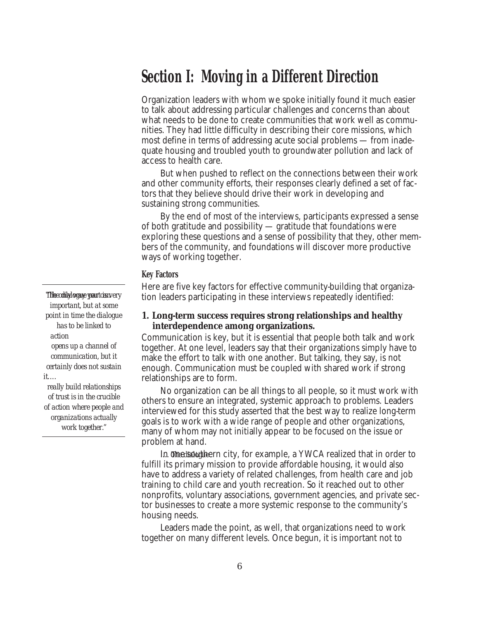### **Section I: Moving in a Different Direction**

Organization leaders with whom we spoke initially found it much easier to talk about addressing particular challenges and concerns than about what needs to be done to create communities that work well as communities. They had little difficulty in describing their core missions, which most define in terms of addressing acute social problems — from inadequate housing and troubled youth to groundwater pollution and lack of access to health care.

But when pushed to reflect on the connections between their work and other community efforts, their responses clearly defined a set of factors that they believe should drive their work in developing and sustaining strong communities.

By the end of most of the interviews, participants expressed a sense of both gratitude and possibility — gratitude that foundations were exploring these questions and a sense of possibility that they, other members of the community, and foundations will discover more productive ways of working together.

#### **Key Factors**

Here are five key factors for effective community-building that organization leaders participating in these interviews repeatedly identified:

### **1. Long-term success requires strong relationships and healthy interdependence among organizations.**

Communication is key, but it is essential that people both talk and work together. At one level, leaders say that their organizations simply have to make the effort to talk with one another. But talking, they say, is not enough. Communication must be coupled with shared work if strong relationships are to form.

No organization can be all things to all people, so it must work with others to ensure an integrated, systemic approach to problems. Leaders interviewed for this study asserted that the best way to realize long-term goals is to work with a wide range of people and other organizations, many of whom may not initially appear to be focused on the issue or problem at hand.

**In o***nectsough***ern** city, for example, a YWCA realized that in order to fulfill its primary mission to provide affordable housing, it would also have to address a variety of related challenges, from health care and job training to child care and youth recreation. So it reached out to other nonprofits, voluntary associations, government agencies, and private sector businesses to create a more systemic response to the community's housing needs.

Leaders made the point, as well, that organizations need to work together on many different levels. Once begun, it is important not to

*important, but at some point in time the dialogue has to be linked to action opens up a channel of communication, but it certainly does not sustain it....* 

*"The dialogue part is very The only way you can*

*really build relationships of trust is in the crucible of action where people and organizations actually work together."*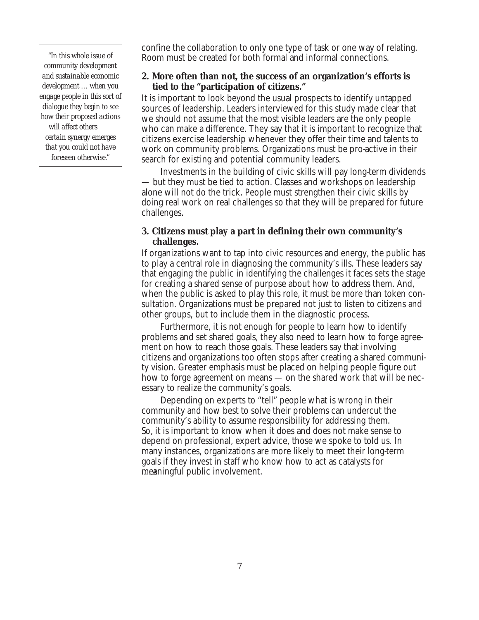*"In this whole issue of community development and sustainable economic development … when you engage people in this sort of dialogue they begin to see how their proposed actions will affect others certain synergy emerges that you could not have foreseen otherwise."*

confine the collaboration to only one type of task or one way of relating. Room must be created for both formal and informal connections.

### **2. More often than not, the success of an organization's efforts is tied to the "participation of citizens."**

It is important to look beyond the usual prospects to identify untapped sources of leadership. Leaders interviewed for this study made clear that we should not assume that the most visible leaders are the only people who can make a difference. They say that it is important to recognize that citizens exercise leadership whenever they offer their time and talents to work on community problems. Organizations must be pro-active in their search for existing and potential community leaders.

Investments in the building of civic skills will pay long-term dividends — but they must be tied to action. Classes and workshops on leadership alone will not do the trick. People must strengthen their civic skills by doing real work on real challenges so that they will be prepared for future challenges.

### **3. Citizens must play a part in defining their own community's challenges.**

If organizations want to tap into civic resources and energy, the public has to play a central role in diagnosing the community's ills. These leaders say that engaging the public in identifying the challenges it faces sets the stage for creating a shared sense of purpose about how to address them. And, when the public is asked to play this role, it must be more than token consultation. Organizations must be prepared not just to listen to citizens and other groups, but to include them in the diagnostic process.

Furthermore, it is not enough for people to learn how to identify problems and set shared goals, they also need to learn how to forge agreement on how to reach those goals. These leaders say that involving citizens and organizations too often stops after creating a shared community vision. Greater emphasis must be placed on helping people figure out how to forge agreement on means — on the shared work that will be necessary to realize the community's goals.

Depending on experts to "tell" people what is wrong in their community and how best to solve their problems can undercut the community's ability to assume responsibility for addressing them. So, it is important to know when it does and does not make sense to depend on professional, expert advice, those we spoke to told us. In many instances, organizations are more likely to meet their long-term goals if they invest in staff who know how to act as catalysts for meaningful public involvement. *.... A*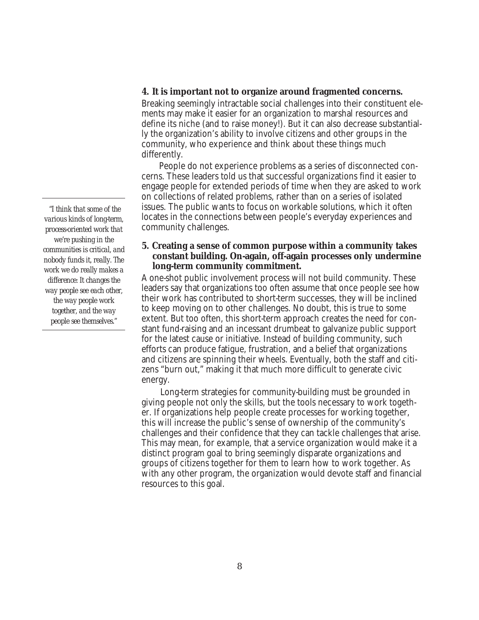### **4. It is important not to organize around fragmented concerns.**

Breaking seemingly intractable social challenges into their constituent elements may make it easier for an organization to marshal resources and define its niche (and to raise money!). But it can also decrease substantially the organization's ability to involve citizens and other groups in the community, who experience and think about these things much differently.

People do not experience problems as a series of disconnected concerns. These leaders told us that successful organizations find it easier to engage people for extended periods of time when they are asked to work on collections of related problems, rather than on a series of isolated issues. The public wants to focus on workable solutions, which it often locates in the connections between people's everyday experiences and community challenges.

### **5. Creating a sense of common purpose within a community takes constant building. On-again, off-again processes only undermine long-term community commitment.**

A one-shot public involvement process will not build community. These leaders say that organizations too often assume that once people see how their work has contributed to short-term successes, they will be inclined to keep moving on to other challenges. No doubt, this is true to some extent. But too often, this short-term approach creates the need for constant fund-raising and an incessant drumbeat to galvanize public support for the latest cause or initiative. Instead of building community, such efforts can produce fatigue, frustration, and a belief that organizations and citizens are spinning their wheels. Eventually, both the staff and citizens "burn out," making it that much more difficult to generate civic energy.

Long-term strategies for community-building must be grounded in giving people not only the skills, but the tools necessary to work together. If organizations help people create processes for working together, this will increase the public's sense of ownership of the community's challenges and their confidence that they can tackle challenges that arise. This may mean, for example, that a service organization would make it a distinct program goal to bring seemingly disparate organizations and groups of citizens together for them to learn how to work together. As with any other program, the organization would devote staff and financial resources to this goal.

*"I think that some of the various kinds of long-term, process-oriented work that we're pushing in the communities is critical, and nobody funds it, really. The work we do really makes a difference: It changes the way people see each other, the way people work together, and the way people see themselves."*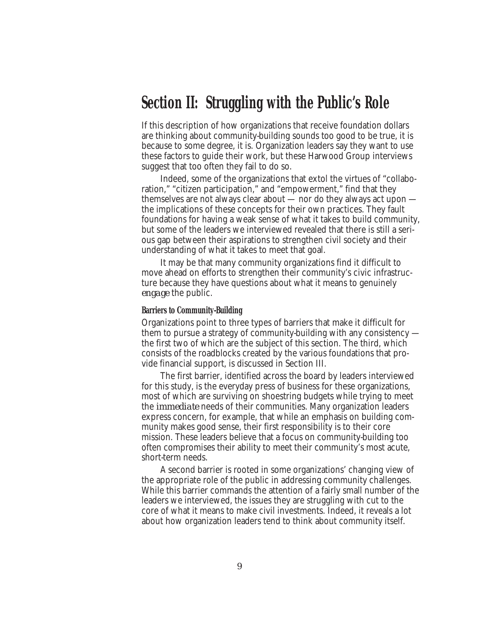### **Section II: Struggling with the Public's Role**

If this description of how organizations that receive foundation dollars are thinking about community-building sounds too good to be true, it is because to some degree, it is. Organization leaders say they want to use these factors to guide their work, but these Harwood Group interviews suggest that too often they fail to do so.

Indeed, some of the organizations that extol the virtues of "collaboration," "citizen participation," and "empowerment," find that they themselves are not always clear about — nor do they always act upon the implications of these concepts for their own practices. They fault foundations for having a weak sense of what it takes to build community, but some of the leaders we interviewed revealed that there is still a serious gap between their aspirations to strengthen civil society and their understanding of what it takes to meet that goal.

It may be that many community organizations find it difficult to move ahead on efforts to strengthen their community's civic infrastructure because they have questions about what it means to genuinely *engage* the public.

#### **Barriers to Community-Building**

Organizations point to three types of barriers that make it difficult for them to pursue a strategy of community-building with any consistency the first two of which are the subject of this section. The third, which consists of the roadblocks created by the various foundations that provide financial support, is discussed in Section III.

The first barrier, identified across the board by leaders interviewed for this study, is the everyday press of business for these organizations, most of which are surviving on shoestring budgets while trying to meet the *immediate* needs of their communities. Many organization leaders express concern, for example, that while an emphasis on building community makes good sense, their first responsibility is to their core mission. These leaders believe that a focus on community-building too often compromises their ability to meet their community's most acute, short-term needs.

A second barrier is rooted in some organizations' changing view of the appropriate role of the public in addressing community challenges. While this barrier commands the attention of a fairly small number of the leaders we interviewed, the issues they are struggling with cut to the core of what it means to make civil investments. Indeed, it reveals a lot about how organization leaders tend to think about community itself.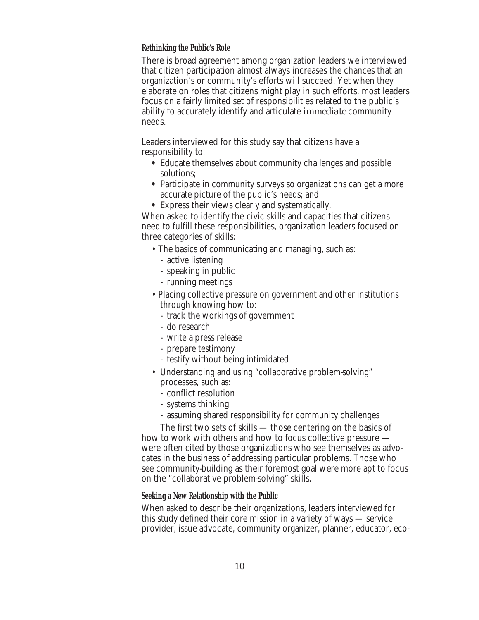### **Rethinking the Public's Role**

There is broad agreement among organization leaders we interviewed that citizen participation almost always increases the chances that an organization's or community's efforts will succeed. Yet when they elaborate on roles that citizens might play in such efforts, most leaders focus on a fairly limited set of responsibilities related to the public's ability to accurately identify and articulate *immediate* community needs.

Leaders interviewed for this study say that citizens have a responsibility to:

- **•** Educate themselves about community challenges and possible solutions;
- Participate in community surveys so organizations can get a more accurate picture of the public's needs; and
- Express their views clearly and systematically.

When asked to identify the civic skills and capacities that citizens need to fulfill these responsibilities, organization leaders focused on three categories of skills:

- The basics of communicating and managing, such as:
	- active listening
	- speaking in public
	- running meetings
- Placing collective pressure on government and other institutions through knowing how to:
	- track the workings of government
	- do research
	- write a press release
	- prepare testimony
	- testify without being intimidated
- Understanding and using "collaborative problem-solving" processes, such as:
	- conflict resolution
	- systems thinking
	- assuming shared responsibility for community challenges

The first two sets of skills — those centering on the basics of how to work with others and how to focus collective pressure were often cited by those organizations who see themselves as advocates in the business of addressing particular problems. Those who see community-building as their foremost goal were more apt to focus on the "collaborative problem-solving" skills.

### **Seeking a New Relationship with the Public**

When asked to describe their organizations, leaders interviewed for this study defined their core mission in a variety of ways — service provider, issue advocate, community organizer, planner, educator, eco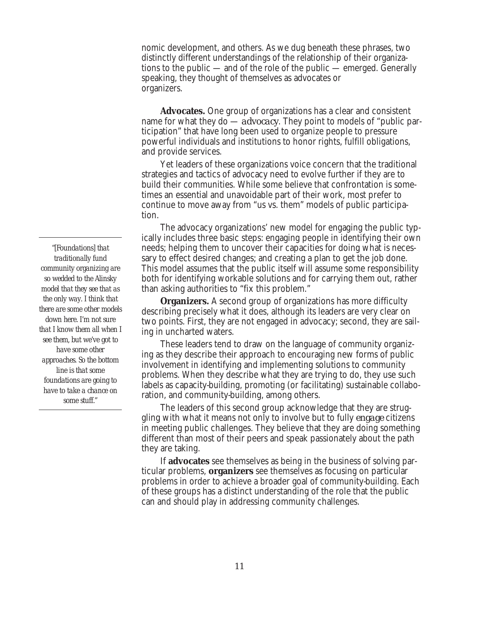nomic development, and others. As we dug beneath these phrases, two distinctly different understandings of the relationship of their organizations to the public — and of the role of the public — emerged. Generally speaking, they thought of themselves as advocates or organizers.

**Advocates.** One group of organizations has a clear and consistent name for what they do — *advocacy*. They point to models of "public participation" that have long been used to organize people to pressure powerful individuals and institutions to honor rights, fulfill obligations, and provide services.

Yet leaders of these organizations voice concern that the traditional strategies and tactics of advocacy need to evolve further if they are to build their communities. While some believe that confrontation is sometimes an essential and unavoidable part of their work, most prefer to continue to move away from "us vs. them" models of public participation.

The advocacy organizations' new model for engaging the public typically includes three basic steps: engaging people in identifying their own needs; helping them to uncover their capacities for doing what is necessary to effect desired changes; and creating a plan to get the job done. This model assumes that the public itself will assume some responsibility both for identifying workable solutions and for carrying them out, rather than asking authorities to "fix this problem."

**Organizers.** A second group of organizations has more difficulty describing precisely what it does, although its leaders are very clear on two points. First, they are not engaged in advocacy; second, they are sailing in uncharted waters.

These leaders tend to draw on the language of community organizing as they describe their approach to encouraging new forms of public involvement in identifying and implementing solutions to community problems. When they describe what they are trying to do, they use such labels as capacity-building, promoting (or facilitating) sustainable collaboration, and community-building, among others.

The leaders of this second group acknowledge that they are struggling with what it means not only to involve but to fully *engage* citizens in meeting public challenges. They believe that they are doing something different than most of their peers and speak passionately about the path they are taking.

If **advocates** see themselves as being in the business of solving particular problems, **organizers** see themselves as focusing on particular problems in order to achieve a broader goal of community-building. Each of these groups has a distinct understanding of the role that the public can and should play in addressing community challenges.

*"[Foundations] that traditionally fund community organizing are so wedded to the Alinsky model that they see that as the only way. I think that there are some other models down here. I'm not sure that I know them all when I see them, but we've got to have some other approaches. So the bottom line is that some foundations are going to have to take a chance on some stuff."*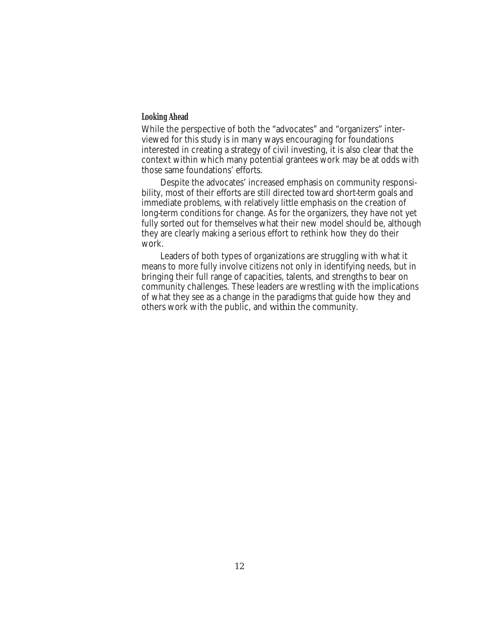### **Looking Ahead**

While the perspective of both the "advocates" and "organizers" interviewed for this study is in many ways encouraging for foundations interested in creating a strategy of civil investing, it is also clear that the context within which many potential grantees work may be at odds with those same foundations' efforts.

Despite the advocates' increased emphasis on community responsibility, most of their efforts are still directed toward short-term goals and immediate problems, with relatively little emphasis on the creation of long-term conditions for change. As for the organizers, they have not yet fully sorted out for themselves what their new model should be, although they are clearly making a serious effort to rethink how they do their work.

Leaders of both types of organizations are struggling with what it means to more fully involve citizens not only in identifying needs, but in bringing their full range of capacities, talents, and strengths to bear on community challenges. These leaders are wrestling with the implications of what they see as a change in the paradigms that guide how they and others work with the public, and *within* the community.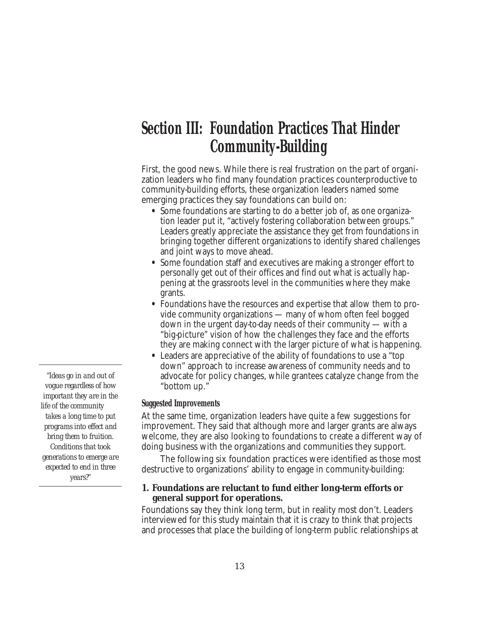### **Section III: Foundation Practices That Hinder Community-Building**

First, the good news. While there is real frustration on the part of organization leaders who find many foundation practices counterproductive to community-building efforts, these organization leaders named some emerging practices they say foundations can build on:

- **•** Some foundations are starting to do a better job of, as one organization leader put it, "actively fostering collaboration between groups." Leaders greatly appreciate the assistance they get from foundations in bringing together different organizations to identify shared challenges and joint ways to move ahead.
- **•** Some foundation staff and executives are making a stronger effort to personally get out of their offices and find out what is actually happening at the grassroots level in the communities where they make grants.
- Foundations have the resources and expertise that allow them to provide community organizations — many of whom often feel bogged down in the urgent day-to-day needs of their community — with a "big-picture" vision of how the challenges they face and the efforts they are making connect with the larger picture of what is happening.
- **•** Leaders are appreciative of the ability of foundations to use a "top down" approach to increase awareness of community needs and to advocate for policy changes, while grantees catalyze change from the "bottom up."

### **Suggested Improvements**

At the same time, organization leaders have quite a few suggestions for improvement. They said that although more and larger grants are always welcome, they are also looking to foundations to create a different way of doing business with the organizations and communities they support.

The following six foundation practices were identified as those most destructive to organizations' ability to engage in community-building:

### **1. Foundations are reluctant to fund either long-term efforts or general support for operations.**

Foundations say they think long term, but in reality most don't. Leaders interviewed for this study maintain that it is crazy to think that projects and processes that place the building of long-term public relationships at

*"Ideas go in and out of vogue regardless of how important they are in the life of the community takes a long time to put programs into effect and bring them to fruition. Conditions that took generations to emerge are expected to end in three years?"*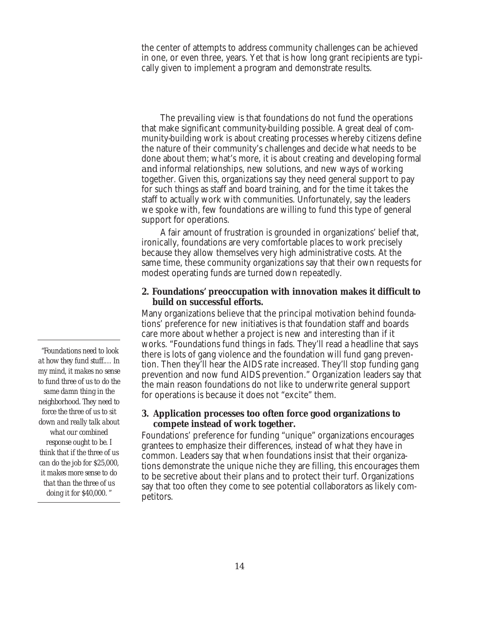the center of attempts to address community challenges can be achieved in one, or even three, years. Yet that is how long grant recipients are typically given to implement a program and demonstrate results.

The prevailing view is that foundations do not fund the operations that make significant community-building possible. A great deal of community-building work is about creating processes whereby citizens define the nature of their community's challenges and decide what needs to be done about them; what's more, it is about creating and developing formal *and* informal relationships, new solutions, and new ways of working together. Given this, organizations say they need general support to pay for such things as staff and board training, and for the time it takes the staff to actually work with communities. Unfortunately, say the leaders we spoke with, few foundations are willing to fund this type of general support for operations.

A fair amount of frustration is grounded in organizations' belief that, ironically, foundations are very comfortable places to work precisely because they allow themselves very high administrative costs. At the same time, these community organizations say that their own requests for modest operating funds are turned down repeatedly.

### **2. Foundations' preoccupation with innovation makes it difficult to build on successful efforts.**

Many organizations believe that the principal motivation behind foundations' preference for new initiatives is that foundation staff and boards care more about whether a project is new and interesting than if it works. "Foundations fund things in fads. They'll read a headline that says there is lots of gang violence and the foundation will fund gang prevention. Then they'll hear the AIDS rate increased. They'll stop funding gang prevention and now fund AIDS prevention." Organization leaders say that the main reason foundations do not like to underwrite general support for operations is because it does not "excite" them.

### **3. Application processes too often force good organizations to compete instead of work together.**

Foundations' preference for funding "unique" organizations encourages grantees to emphasize their differences, instead of what they have in common. Leaders say that when foundations insist that their organizations demonstrate the unique niche they are filling, this encourages them to be secretive about their plans and to protect their turf. Organizations say that too often they come to see potential collaborators as likely competitors.

*"Foundations need to look at how they fund stuff.… In my mind, it makes no sense to fund three of us to do the same damn thing in the neighborhood. They need to force the three of us to sit down and really talk about what our combined response ought to be. I think that if the three of us can do the job for \$25,000, it makes more sense to do that than the three of us doing it for \$40,000. "*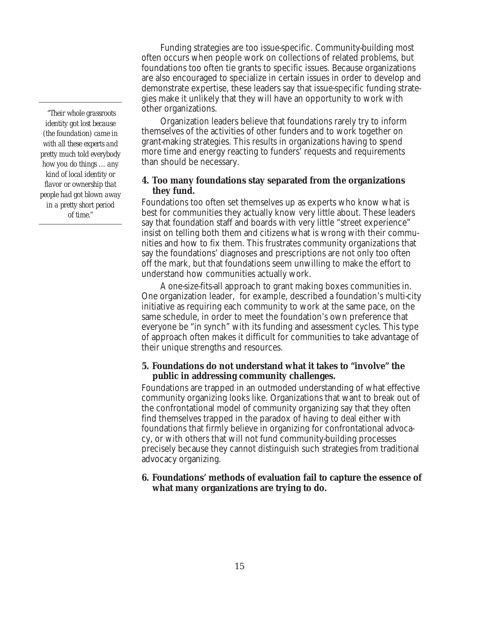Funding strategies are too issue-specific. Community-building most often occurs when people work on collections of related problems, but foundations too often tie grants to specific issues. Because organizations are also encouraged to specialize in certain issues in order to develop and demonstrate expertise, these leaders say that issue-specific funding strategies make it unlikely that they will have an opportunity to work with other organizations.

Organization leaders believe that foundations rarely try to inform themselves of the activities of other funders and to work together on grant-making strategies. This results in organizations having to spend more time and energy reacting to funders' requests and requirements than should be necessary.

### **4. Too many foundations stay separated from the organizations they fund.**

Foundations too often set themselves up as experts who know what is best for communities they actually know very little about. These leaders say that foundation staff and boards with very little "street experience" insist on telling both them and citizens what is wrong with their communities and how to fix them. This frustrates community organizations that say the foundations' diagnoses and prescriptions are not only too often off the mark, but that foundations seem unwilling to make the effort to understand how communities actually work.

A one-size-fits-all approach to grant making boxes communities in. One organization leader, for example, described a foundation's multi-city initiative as requiring each community to work at the same pace, on the same schedule, in order to meet the foundation's own preference that everyone be "in synch" with its funding and assessment cycles. This type of approach often makes it difficult for communities to take advantage of their unique strengths and resources.

### **5. Foundations do not understand what it takes to "involve" the public in addressing community challenges.**

Foundations are trapped in an outmoded understanding of what effective community organizing looks like. Organizations that want to break out of the confrontational model of community organizing say that they often find themselves trapped in the paradox of having to deal either with foundations that firmly believe in organizing for confrontational advocacy, or with others that will not fund community-building processes precisely because they cannot distinguish such strategies from traditional advocacy organizing.

### **6. Foundations' methods of evaluation fail to capture the essence of what many organizations are trying to do.**

*"Their whole grassroots identity got lost because (the foundation) came in with all these experts and pretty much told everybody how you do things … any kind of local identity or flavor or ownership that people had got blown away in a pretty short period of time."*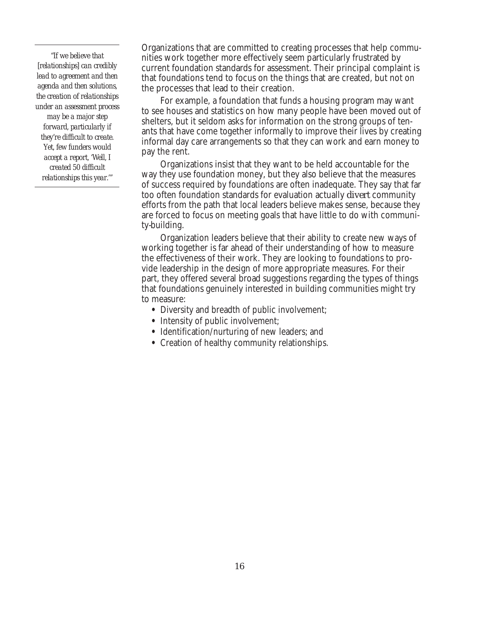*"If we believe that [relationships] can credibly lead to agreement and then agenda and then solutions, the creation of relationships under an assessment process may be a major step forward, particularly if they're difficult to create. Yet, few funders would accept a report, 'Well, I created 50 difficult relationships this year.'"*

Organizations that are committed to creating processes that help communities work together more effectively seem particularly frustrated by current foundation standards for assessment. Their principal complaint is that foundations tend to focus on the things that are created, but not on the processes that lead to their creation.

For example, a foundation that funds a housing program may want to see houses and statistics on how many people have been moved out of shelters, but it seldom asks for information on the strong groups of tenants that have come together informally to improve their lives by creating informal day care arrangements so that they can work and earn money to pay the rent.

Organizations insist that they want to be held accountable for the way they use foundation money, but they also believe that the measures of success required by foundations are often inadequate. They say that far too often foundation standards for evaluation actually *divert* community efforts from the path that local leaders believe makes sense, because they are forced to focus on meeting goals that have little to do with community-building.

Organization leaders believe that their ability to create new ways of working together is far ahead of their understanding of how to measure the effectiveness of their work. They are looking to foundations to provide leadership in the design of more appropriate measures. For their part, they offered several broad suggestions regarding the types of things that foundations genuinely interested in building communities might try to measure:

- **•** Diversity and breadth of public involvement;
- **•** Intensity of public involvement;
- **•** Identification/nurturing of new leaders; and
- **•** Creation of healthy community relationships.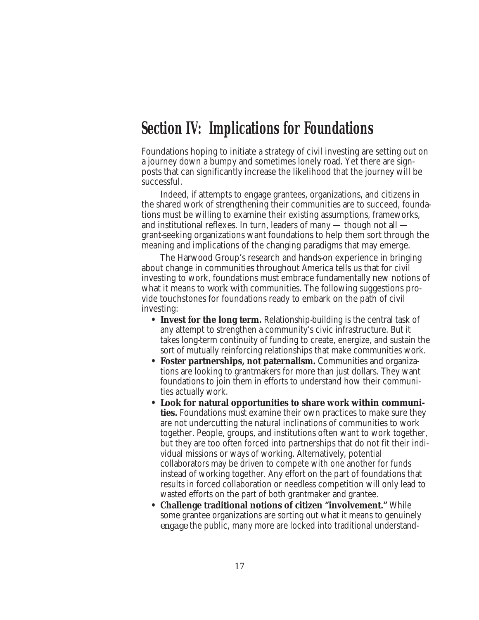### **Section IV: Implications for Foundations**

Foundations hoping to initiate a strategy of civil investing are setting out on a journey down a bumpy and sometimes lonely road. Yet there are signposts that can significantly increase the likelihood that the journey will be successful.

Indeed, if attempts to engage grantees, organizations, and citizens in the shared work of strengthening their communities are to succeed, foundations must be willing to examine their existing assumptions, frameworks, and institutional reflexes. In turn, leaders of many — though not all grant-seeking organizations want foundations to help them sort through the meaning and implications of the changing paradigms that may emerge.

The Harwood Group's research and hands-on experience in bringing about change in communities throughout America tells us that for civil investing to work, foundations must embrace fundamentally new notions of what it means to *work with* communities. The following suggestions provide touchstones for foundations ready to embark on the path of civil investing:

- **Invest for the long term.** Relationship-building is the central task of any attempt to strengthen a community's civic infrastructure. But it takes long-term continuity of funding to create, energize, and sustain the sort of mutually reinforcing relationships that make communities work.
- **Foster partnerships, not paternalism.** Communities and organizations are looking to grantmakers for more than just dollars. They want foundations to join them in efforts to understand how their communities actually work.
- **Look for natural opportunities to share work within communities.** Foundations must examine their own practices to make sure they are not undercutting the natural inclinations of communities to work together. People, groups, and institutions often want to work together, but they are too often forced into partnerships that do not fit their individual missions or ways of working. Alternatively, potential collaborators may be driven to compete with one another for funds instead of working together. Any effort on the part of foundations that results in forced collaboration or needless competition will only lead to wasted efforts on the part of both grantmaker and grantee.
- **Challenge traditional notions of citizen "involvement."** While some grantee organizations are sorting out what it means to genuinely *engage* the public, many more are locked into traditional understand-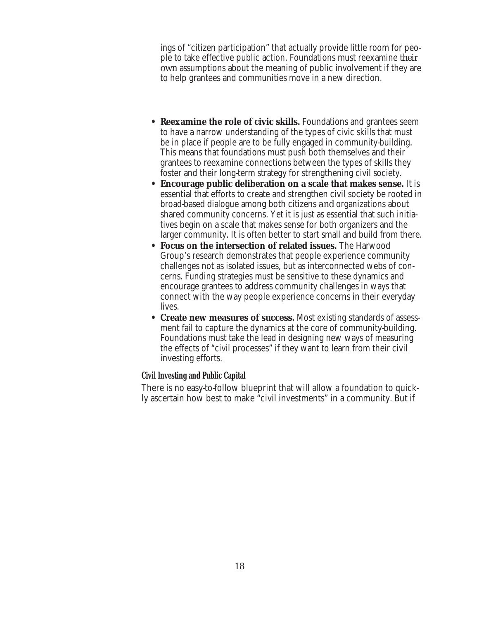ings of "citizen participation" that actually provide little room for people to take effective public action. Foundations must reexamine *their own* assumptions about the meaning of public involvement if they are to help grantees and communities move in a new direction.

- **Reexamine the role of civic skills.** Foundations and grantees seem to have a narrow understanding of the types of civic skills that must be in place if people are to be fully engaged in community-building. This means that foundations must push both themselves and their grantees to reexamine connections between the types of skills they foster and their long-term strategy for strengthening civil society.
- **Encourage public deliberation on a scale that makes sense.** It is essential that efforts to create and strengthen civil society be rooted in broad-based dialogue among both citizens *and* organizations about shared community concerns. Yet it is just as essential that such initiatives begin on a scale that makes sense for both organizers and the larger community. It is often better to start small and build from there.
- **Focus on the intersection of related issues.** The Harwood Group's research demonstrates that people experience community challenges not as isolated issues, but as interconnected webs of concerns. Funding strategies must be sensitive to these dynamics and encourage grantees to address community challenges in ways that connect with the way people experience concerns in their everyday lives.
- **Create new measures of success.** Most existing standards of assessment fail to capture the dynamics at the core of community-building. Foundations must take the lead in designing new ways of measuring the effects of "civil processes" if they want to learn from their civil investing efforts.

### **Civil Investing and Public Capital**

There is no easy-to-follow blueprint that will allow a foundation to quickly ascertain how best to make "civil investments" in a community. But if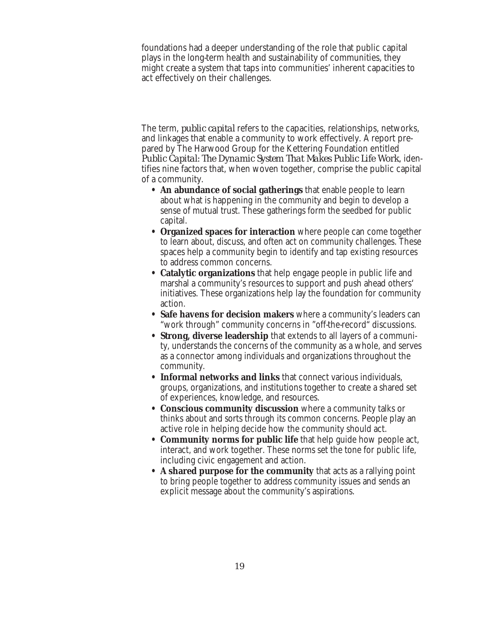foundations had a deeper understanding of the role that public capital plays in the long-term health and sustainability of communities, they might create a system that taps into communities' inherent capacities to act effectively on their challenges.

The term, *public capital* refers to the capacities, relationships, networks, and linkages that enable a community to work effectively. A report prepared by The Harwood Group for the Kettering Foundation entitled *Public Capital: The Dynamic System That Makes Public Life Work*, identifies nine factors that, when woven together, comprise the public capital of a community.

- **An abundance of social gatherings** that enable people to learn about what is happening in the community and begin to develop a sense of mutual trust. These gatherings form the seedbed for public capital.
- **Organized spaces for interaction** where people can come together to learn about, discuss, and often act on community challenges. These spaces help a community begin to identify and tap existing resources to address common concerns.
- **Catalytic organizations** that help engage people in public life and marshal a community's resources to support and push ahead others' initiatives. These organizations help lay the foundation for community action.
- **Safe havens for decision makers** where a community's leaders can "work through" community concerns in "off-the-record" discussions.
- **Strong, diverse leadership** that extends to all layers of a community, understands the concerns of the community as a whole, and serves as a connector among individuals and organizations throughout the community.
- **Informal networks and links** that connect various individuals, groups, organizations, and institutions together to create a shared set of experiences, knowledge, and resources.
- **Conscious community discussion** where a community talks or thinks about and sorts through its common concerns. People play an active role in helping decide how the community should act.
- **Community norms for public life** that help guide how people act, interact, and work together. These norms set the tone for public life, including civic engagement and action.
- **A shared purpose for the community** that acts as a rallying point to bring people together to address community issues and sends an explicit message about the community's aspirations.